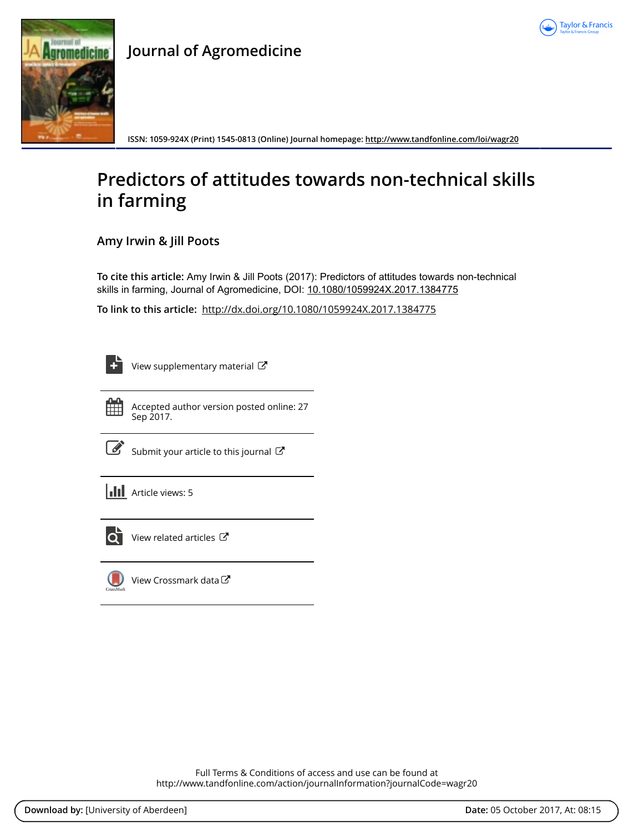



# **Journal of Agromedicine**

**ISSN: 1059-924X (Print) 1545-0813 (Online) Journal homepage: <http://www.tandfonline.com/loi/wagr20>**

# **Predictors of attitudes towards non-technical skills in farming**

**Amy Irwin & Jill Poots**

**To cite this article:** Amy Irwin & Jill Poots (2017): Predictors of attitudes towards non-technical skills in farming, Journal of Agromedicine, DOI: [10.1080/1059924X.2017.1384775](http://www.tandfonline.com/action/showCitFormats?doi=10.1080/1059924X.2017.1384775)

**To link to this article:** <http://dx.doi.org/10.1080/1059924X.2017.1384775>

| ۰ |
|---|

[View supplementary material](http://www.tandfonline.com/doi/suppl/10.1080/1059924X.2017.1384775)  $\mathbb{Z}$ 

Accepted author version posted online: 27 Sep 2017.

[Submit your article to this journal](http://www.tandfonline.com/action/authorSubmission?journalCode=wagr20&show=instructions)  $\mathbb{Z}$ 

**III** Article views: 5



[View related articles](http://www.tandfonline.com/doi/mlt/10.1080/1059924X.2017.1384775) C



[View Crossmark data](http://crossmark.crossref.org/dialog/?doi=10.1080/1059924X.2017.1384775&domain=pdf&date_stamp=2017-09-27)<sup>C</sup>

Full Terms & Conditions of access and use can be found at <http://www.tandfonline.com/action/journalInformation?journalCode=wagr20>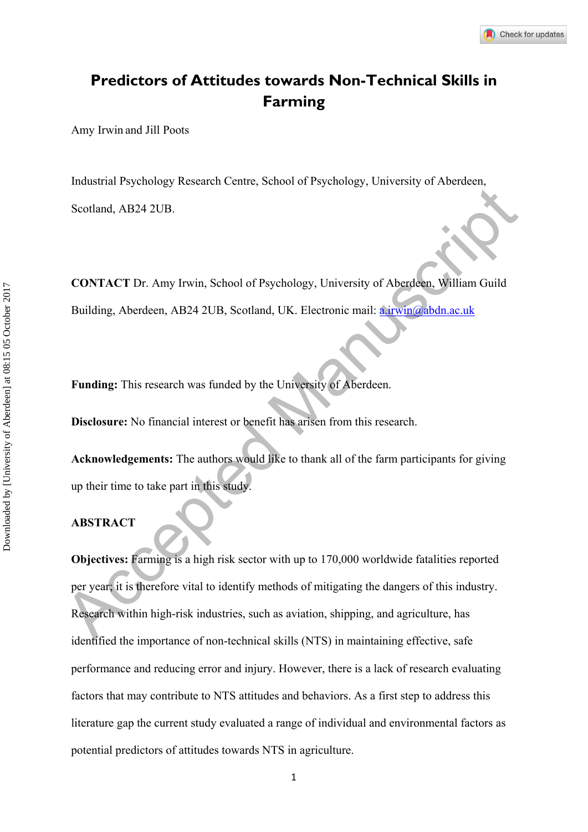# **Predictors of Attitudes towards Non-Technical Skills in Farming**

Amy Irwin and Jill Poots

Industrial Psychology Research Centre, School of Psychology, University of Aberdeen, Scotland, AB24 2UB.

**CONTACT** Dr. Amy Irwin, School of Psychology, University of Aberdeen, William Guild Building, Aberdeen, AB24 2UB, Scotland, UK. Electronic mail: **a.irwin@abdn.ac.uk** 

**Funding:** This research was funded by the University of Aberdeen.

**Disclosure:** No financial interest or benefit has arisen from this research.

**Acknowledgements:** The authors would like to thank all of the farm participants for giving up their time to take part in this study.

#### **ABSTRACT**

Scotland, AB24 2UB.<br>
CONTACT Dr. Amy Irwin, School of Psychology, University of Aberdea. William Guild<br>
Building, Aberdeen, AB24 2UB, Scotland, UK. Electronic mail: a invitable acuk<br>
Funding: This research was funded by th **Objectives:** Farming is a high risk sector with up to 170,000 worldwide fatalities reported per year; it is therefore vital to identify methods of mitigating the dangers of this industry. Research within high-risk industries, such as aviation, shipping, and agriculture, has identified the importance of non-technical skills (NTS) in maintaining effective, safe performance and reducing error and injury. However, there is a lack of research evaluating factors that may contribute to NTS attitudes and behaviors. As a first step to address this literature gap the current study evaluated a range of individual and environmental factors as potential predictors of attitudes towards NTS in agriculture.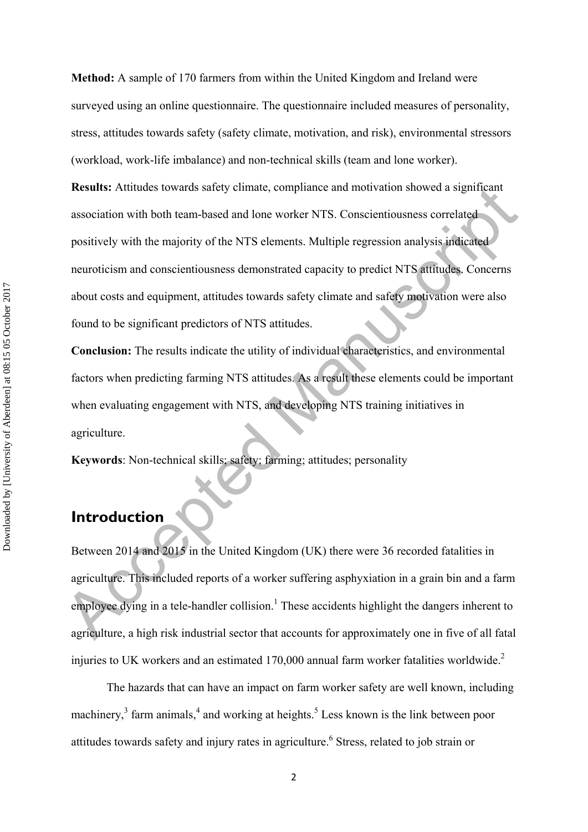**Method:** A sample of 170 farmers from within the United Kingdom and Ireland were surveyed using an online questionnaire. The questionnaire included measures of personality, stress, attitudes towards safety (safety climate, motivation, and risk), environmental stressors (workload, work-life imbalance) and non-technical skills (team and lone worker).

**Executes:** Attitudes towards sately climate, compliance and motivation showed a significant<br>association with both team-based and lone worker NTS. Conscientiousness correlated<br>positively with the majority of the NTS elemen **Results:** Attitudes towards safety climate, compliance and motivation showed a significant association with both team-based and lone worker NTS. Conscientiousness correlated positively with the majority of the NTS elements. Multiple regression analysis indicated neuroticism and conscientiousness demonstrated capacity to predict NTS attitudes. Concerns about costs and equipment, attitudes towards safety climate and safety motivation were also found to be significant predictors of NTS attitudes.

**Conclusion:** The results indicate the utility of individual characteristics, and environmental factors when predicting farming NTS attitudes. As a result these elements could be important when evaluating engagement with NTS, and developing NTS training initiatives in agriculture.

**Keywords**: Non-technical skills; safety; farming; attitudes; personality

# **Introduction**

Between 2014 and 2015 in the United Kingdom (UK) there were 36 recorded fatalities in agriculture. This included reports of a worker suffering asphyxiation in a grain bin and a farm employee dying in a tele-handler collision.<sup>1</sup> These accidents highlight the dangers inherent to agriculture, a high risk industrial sector that accounts for approximately one in five of all fatal injuries to UK workers and an estimated  $170,000$  annual farm worker fatalities worldwide.<sup>2</sup>

The hazards that can have an impact on farm worker safety are well known, including machinery, $3$  farm animals, $4$  and working at heights.<sup>5</sup> Less known is the link between poor attitudes towards safety and injury rates in agriculture.<sup>6</sup> Stress, related to job strain or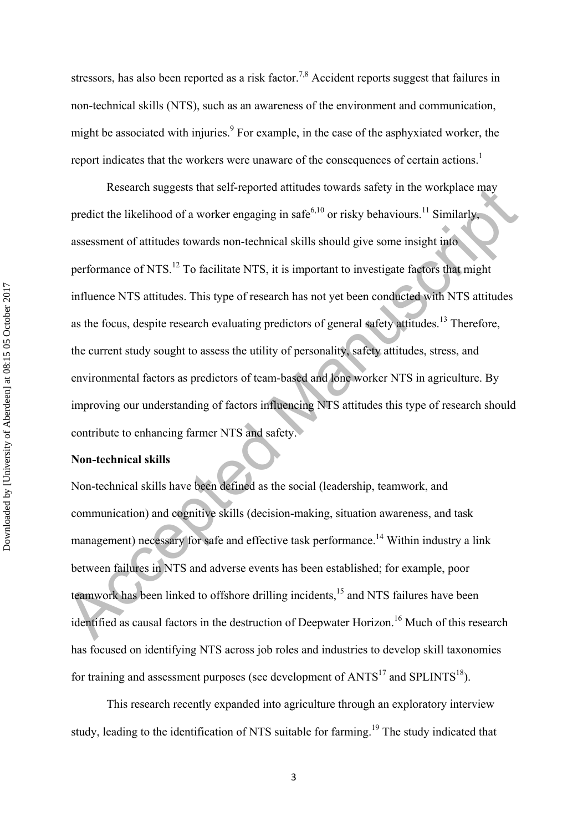stressors, has also been reported as a risk factor.<sup>7,8</sup> Accident reports suggest that failures in non-technical skills (NTS), such as an awareness of the environment and communication, might be associated with injuries.<sup>9</sup> For example, in the case of the asphyxiated worker, the report indicates that the workers were unaware of the consequences of certain actions.<sup>1</sup>

Research suggests that self-reported attitudes towards satety in the workplace may<br>predict the likelihood of a worker engaging in safe<sup>610</sup> or risky behaviours.<sup>11</sup> Similarly,<br>assessment of attitudes towards non-technical Research suggests that self-reported attitudes towards safety in the workplace may predict the likelihood of a worker engaging in safe<sup>6,10</sup> or risky behaviours.<sup>11</sup> Similarly, assessment of attitudes towards non-technical skills should give some insight into performance of NTS.12 To facilitate NTS, it is important to investigate factors that might influence NTS attitudes. This type of research has not yet been conducted with NTS attitudes as the focus, despite research evaluating predictors of general safety attitudes.<sup>13</sup> Therefore, the current study sought to assess the utility of personality, safety attitudes, stress, and environmental factors as predictors of team-based and lone worker NTS in agriculture. By improving our understanding of factors influencing NTS attitudes this type of research should contribute to enhancing farmer NTS and safety.

## **Non-technical skills**

Non-technical skills have been defined as the social (leadership, teamwork, and communication) and cognitive skills (decision-making, situation awareness, and task management) necessary for safe and effective task performance.<sup>14</sup> Within industry a link between failures in NTS and adverse events has been established; for example, poor teamwork has been linked to offshore drilling incidents,<sup>15</sup> and NTS failures have been identified as causal factors in the destruction of Deepwater Horizon.<sup>16</sup> Much of this research has focused on identifying NTS across job roles and industries to develop skill taxonomies for training and assessment purposes (see development of  $ANTS<sup>17</sup>$  and SPLINTS<sup>18</sup>).

This research recently expanded into agriculture through an exploratory interview study, leading to the identification of NTS suitable for farming.<sup>19</sup> The study indicated that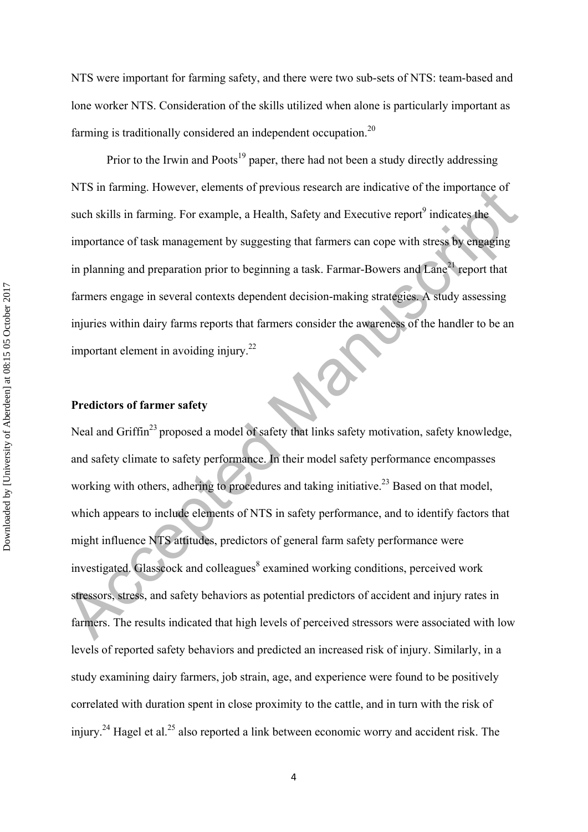NTS were important for farming safety, and there were two sub-sets of NTS: team-based and lone worker NTS. Consideration of the skills utilized when alone is particularly important as farming is traditionally considered an independent occupation.<sup>20</sup>

Prior to the Irwin and Poots<sup>19</sup> paper, there had not been a study directly addressing NTS in farming. However, elements of previous research are indicative of the importance of such skills in farming. For example, a Health, Safety and Executive report $\theta$  indicates the importance of task management by suggesting that farmers can cope with stress by engaging in planning and preparation prior to beginning a task. Farmar-Bowers and  $\text{Lane}^{21}$  report that farmers engage in several contexts dependent decision-making strategies. A study assessing injuries within dairy farms reports that farmers consider the awareness of the handler to be an important element in avoiding injury.<sup>22</sup>

### **Predictors of farmer safety**

NTS in tarming. However, eiements of previous research are indicative of the importance of<br>such skills in farming. For example, a Health, Safety and Executive report<sup>9</sup> indicates the<br>importance of task management by sugge Neal and Griffin<sup>23</sup> proposed a model of safety that links safety motivation, safety knowledge, and safety climate to safety performance. In their model safety performance encompasses working with others, adhering to procedures and taking initiative.<sup>23</sup> Based on that model, which appears to include elements of NTS in safety performance, and to identify factors that might influence NTS attitudes, predictors of general farm safety performance were investigated. Glasscock and colleagues<sup>8</sup> examined working conditions, perceived work stressors, stress, and safety behaviors as potential predictors of accident and injury rates in farmers. The results indicated that high levels of perceived stressors were associated with low levels of reported safety behaviors and predicted an increased risk of injury. Similarly, in a study examining dairy farmers, job strain, age, and experience were found to be positively correlated with duration spent in close proximity to the cattle, and in turn with the risk of injury.<sup>24</sup> Hagel et al.<sup>25</sup> also reported a link between economic worry and accident risk. The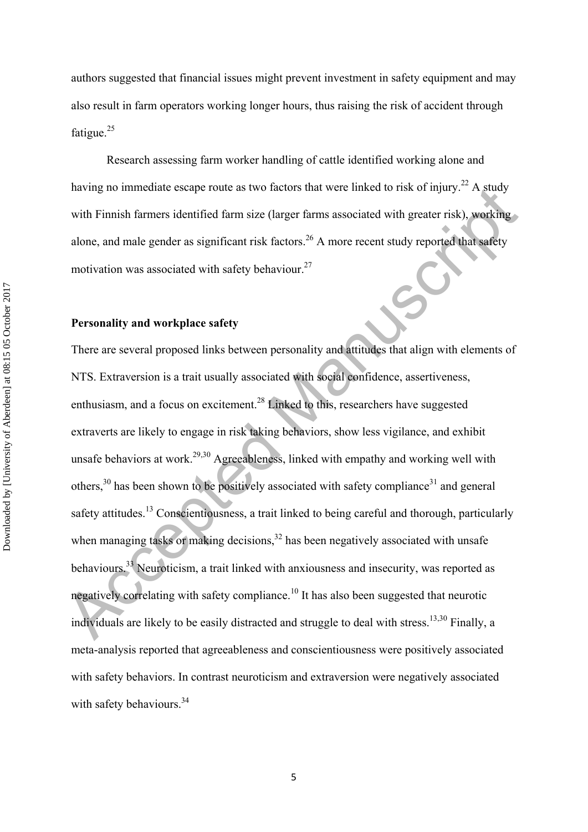authors suggested that financial issues might prevent investment in safety equipment and may also result in farm operators working longer hours, thus raising the risk of accident through fatigue.<sup>25</sup>

Research assessing farm worker handling of cattle identified working alone and having no immediate escape route as two factors that were linked to risk of injury.<sup>22</sup> A study with Finnish farmers identified farm size (larger farms associated with greater risk), working alone, and male gender as significant risk factors.<sup>26</sup> A more recent study reported that safety motivation was associated with safety behaviour.<sup>27</sup>

### **Personality and workplace safety**

naving no immediate escape route as two factors that were inneed to risk of injury. A study<br>with Finnish farmers identified farm size (larger farms associated with greater risk), we<br>obting<br>alone, and male gender as signif There are several proposed links between personality and attitudes that align with elements of NTS. Extraversion is a trait usually associated with social confidence, assertiveness, enthusiasm, and a focus on excitement.<sup>28</sup> Linked to this, researchers have suggested extraverts are likely to engage in risk taking behaviors, show less vigilance, and exhibit unsafe behaviors at work.<sup>29,30</sup> Agreeableness, linked with empathy and working well with others, $30$  has been shown to be positively associated with safety compliance<sup>31</sup> and general safety attitudes.<sup>13</sup> Conscientiousness, a trait linked to being careful and thorough, particularly when managing tasks or making decisions,  $32$  has been negatively associated with unsafe behaviours.33 Neuroticism, a trait linked with anxiousness and insecurity, was reported as negatively correlating with safety compliance.<sup>10</sup> It has also been suggested that neurotic individuals are likely to be easily distracted and struggle to deal with stress.<sup>13,30</sup> Finally, a meta-analysis reported that agreeableness and conscientiousness were positively associated with safety behaviors. In contrast neuroticism and extraversion were negatively associated with safety behaviours.<sup>34</sup>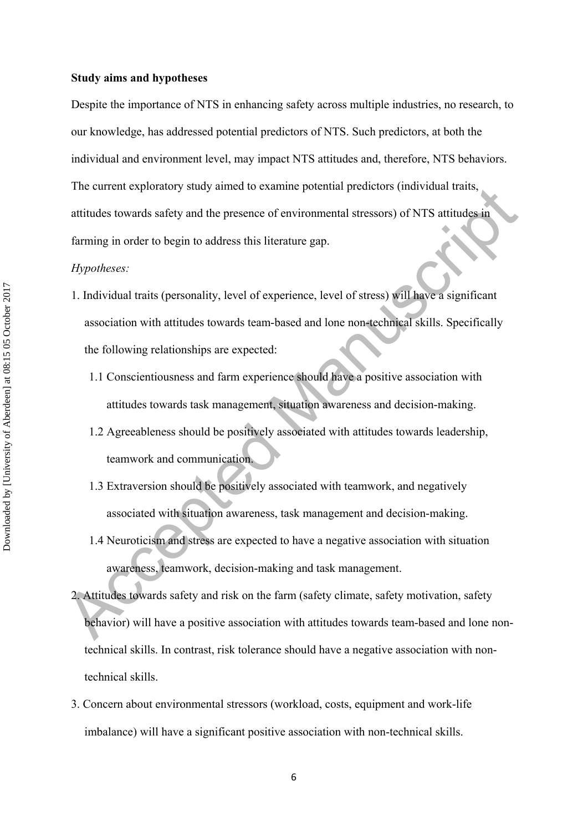#### **Study aims and hypotheses**

Despite the importance of NTS in enhancing safety across multiple industries, no research, to our knowledge, has addressed potential predictors of NTS. Such predictors, at both the individual and environment level, may impact NTS attitudes and, therefore, NTS behaviors. The current exploratory study aimed to examine potential predictors (individual traits, attitudes towards safety and the presence of environmental stressors) of NTS attitudes in farming in order to begin to address this literature gap.

#### *Hypotheses:*

- The current exploratory study amea to examine potential predictors (individual translapsion)<br>attitudes towards safety and the presence of environmental stressors) of NTS attitudes in<br>attitudes towards safety and the presen 1. Individual traits (personality, level of experience, level of stress) will have a significant association with attitudes towards team-based and lone non-technical skills. Specifically the following relationships are expected:
	- 1.1 Conscientiousness and farm experience should have a positive association with attitudes towards task management, situation awareness and decision-making.
	- 1.2 Agreeableness should be positively associated with attitudes towards leadership, teamwork and communication.
	- 1.3 Extraversion should be positively associated with teamwork, and negatively associated with situation awareness, task management and decision-making.
	- 1.4 Neuroticism and stress are expected to have a negative association with situation awareness, teamwork, decision-making and task management.
	- 2. Attitudes towards safety and risk on the farm (safety climate, safety motivation, safety behavior) will have a positive association with attitudes towards team-based and lone nontechnical skills. In contrast, risk tolerance should have a negative association with nontechnical skills.
	- 3. Concern about environmental stressors (workload, costs, equipment and work-life imbalance) will have a significant positive association with non-technical skills.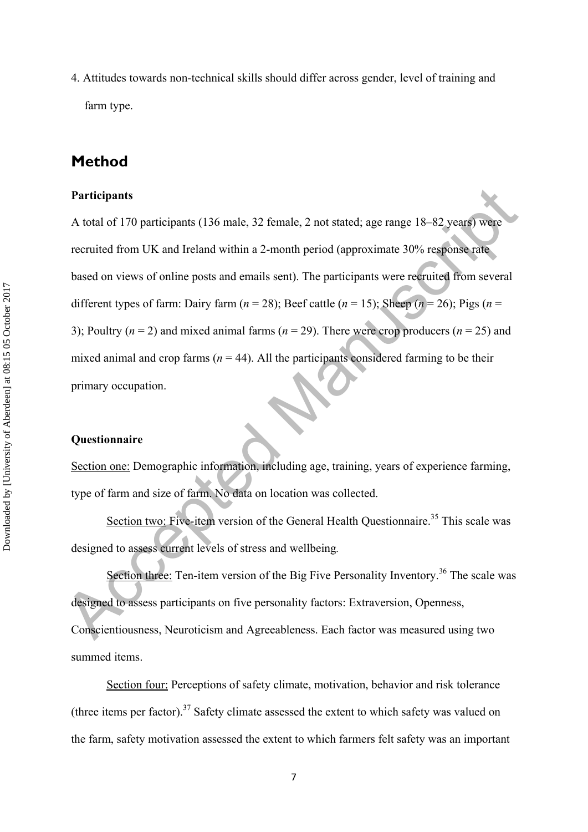4. Attitudes towards non-technical skills should differ across gender, level of training and farm type.

# **Method**

#### **Participants**

**Participants**<br>
A total of 170 participants (136 male, 32 female, 2 not stated; age range 18-82 years) were<br>
recruited from UK and Ireland within a 2-month period (approximate 30% response rate<br>
based on views of online p A total of 170 participants (136 male, 32 female, 2 not stated; age range 18–82 years) were recruited from UK and Ireland within a 2-month period (approximate 30% response rate based on views of online posts and emails sent). The participants were recruited from several different types of farm: Dairy farm  $(n = 28)$ ; Beef cattle  $(n = 15)$ ; Sheep  $(n = 26)$ ; Pigs  $(n = 15)$ 3); Poultry  $(n = 2)$  and mixed animal farms  $(n = 29)$ . There were crop producers  $(n = 25)$  and mixed animal and crop farms ( $n = 44$ ). All the participants considered farming to be their primary occupation.

### **Questionnaire**

Section one: Demographic information, including age, training, years of experience farming, type of farm and size of farm. No data on location was collected.

Section two: Five-item version of the General Health Questionnaire.<sup>35</sup> This scale was designed to assess current levels of stress and wellbeing*.* 

Section three: Ten-item version of the Big Five Personality Inventory.<sup>36</sup> The scale was designed to assess participants on five personality factors: Extraversion, Openness, Conscientiousness, Neuroticism and Agreeableness. Each factor was measured using two summed items.

Section four: Perceptions of safety climate, motivation, behavior and risk tolerance (three items per factor).<sup>37</sup> Safety climate assessed the extent to which safety was valued on the farm, safety motivation assessed the extent to which farmers felt safety was an important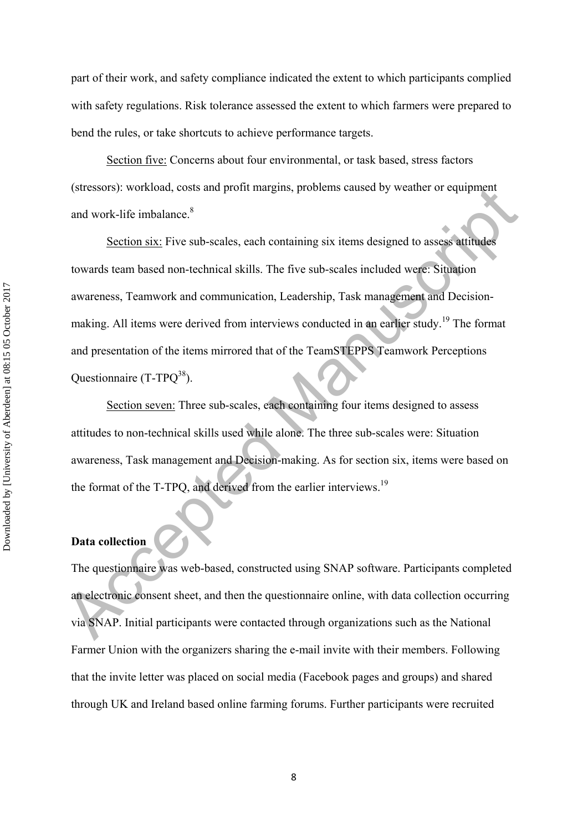part of their work, and safety compliance indicated the extent to which participants complied with safety regulations. Risk tolerance assessed the extent to which farmers were prepared to bend the rules, or take shortcuts to achieve performance targets.

Section five: Concerns about four environmental, or task based, stress factors (stressors): workload, costs and profit margins, problems caused by weather or equipment and work-life imbalance.<sup>8</sup>

(stressors): workload, costs and profit margins, problems caused by weather or equipment<br>and work-life imbalance.<sup>8</sup><br>Section six: Five sub-scales, each containing six items designed to assess a<br>timedes<br>towards team based Section six: Five sub-scales, each containing six items designed to assess attitudes towards team based non-technical skills. The five sub-scales included were: Situation awareness, Teamwork and communication, Leadership, Task management and Decisionmaking. All items were derived from interviews conducted in an earlier study.19 The format and presentation of the items mirrored that of the TeamSTEPPS Teamwork Perceptions Questionnaire (T-TPQ<sup>38</sup>).

Section seven: Three sub-scales, each containing four items designed to assess attitudes to non-technical skills used while alone. The three sub-scales were: Situation awareness, Task management and Decision-making. As for section six, items were based on the format of the T-TPQ, and derived from the earlier interviews.<sup>19</sup>

### **Data collection**

The questionnaire was web-based, constructed using SNAP software. Participants completed an electronic consent sheet, and then the questionnaire online, with data collection occurring via SNAP. Initial participants were contacted through organizations such as the National Farmer Union with the organizers sharing the e-mail invite with their members. Following that the invite letter was placed on social media (Facebook pages and groups) and shared through UK and Ireland based online farming forums. Further participants were recruited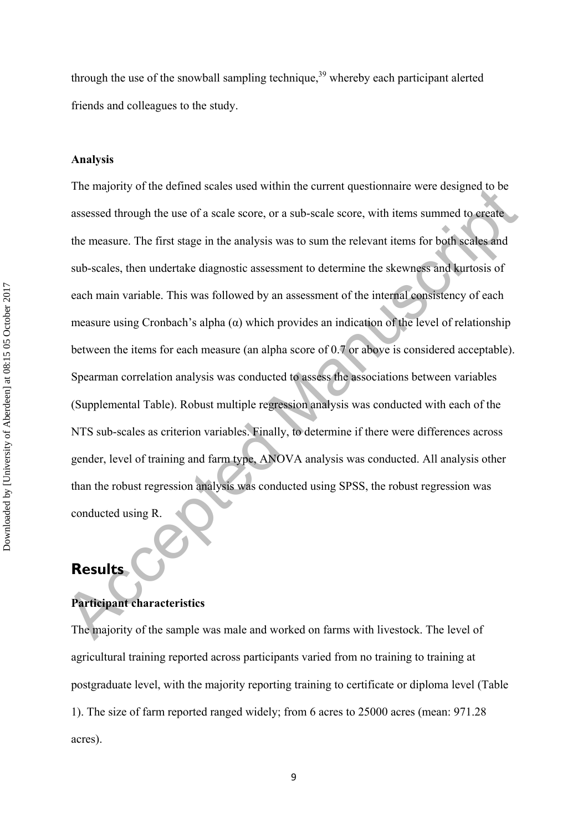through the use of the snowball sampling technique,<sup>39</sup> whereby each participant alerted friends and colleagues to the study.

#### **Analysis**

The majority of the defined scales used whilm the current questiomalie were designed to be<br>assessed through the use of a scale score, or a sub-scale score, with items summed to erective<br>the measure. The first stage in the The majority of the defined scales used within the current questionnaire were designed to be assessed through the use of a scale score, or a sub-scale score, with items summed to create the measure. The first stage in the analysis was to sum the relevant items for both scales and sub-scales, then undertake diagnostic assessment to determine the skewness and kurtosis of each main variable. This was followed by an assessment of the internal consistency of each measure using Cronbach's alpha  $(\alpha)$  which provides an indication of the level of relationship between the items for each measure (an alpha score of 0.7 or above is considered acceptable). Spearman correlation analysis was conducted to assess the associations between variables (Supplemental Table). Robust multiple regression analysis was conducted with each of the NTS sub-scales as criterion variables. Finally, to determine if there were differences across gender, level of training and farm type, ANOVA analysis was conducted. All analysis other than the robust regression analysis was conducted using SPSS, the robust regression was conducted using R.

# **Results**

## **Participant characteristics**

The majority of the sample was male and worked on farms with livestock. The level of agricultural training reported across participants varied from no training to training at postgraduate level, with the majority reporting training to certificate or diploma level (Table 1). The size of farm reported ranged widely; from 6 acres to 25000 acres (mean: 971.28 acres).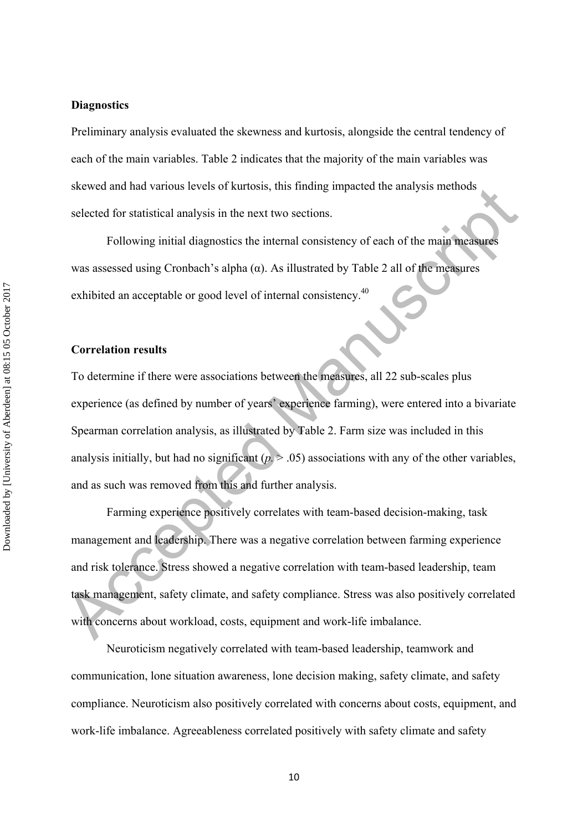**Diagnostics** 

Preliminary analysis evaluated the skewness and kurtosis, alongside the central tendency of each of the main variables. Table 2 indicates that the majority of the main variables was skewed and had various levels of kurtosis, this finding impacted the analysis methods selected for statistical analysis in the next two sections.

Following initial diagnostics the internal consistency of each of the main measures was assessed using Cronbach's alpha  $(\alpha)$ . As illustrated by Table 2 all of the measures exhibited an acceptable or good level of internal consistency.<sup>40</sup>

#### **Correlation results**

seeved and nat various evers or kutosis, mis imang impacted the analysis memotival<br>selected for statistical analysis in the next two sections.<br>Following initial diagnostics the internal consistency of each of the main mea To determine if there were associations between the measures, all 22 sub-scales plus experience (as defined by number of years' experience farming), were entered into a bivariate Spearman correlation analysis, as illustrated by Table 2. Farm size was included in this analysis initially, but had no significant  $(p > 0.05)$  associations with any of the other variables, and as such was removed from this and further analysis.

Farming experience positively correlates with team-based decision-making, task management and leadership. There was a negative correlation between farming experience and risk tolerance. Stress showed a negative correlation with team-based leadership, team task management, safety climate, and safety compliance. Stress was also positively correlated with concerns about workload, costs, equipment and work-life imbalance.

Neuroticism negatively correlated with team-based leadership, teamwork and communication, lone situation awareness, lone decision making, safety climate, and safety compliance. Neuroticism also positively correlated with concerns about costs, equipment, and work-life imbalance. Agreeableness correlated positively with safety climate and safety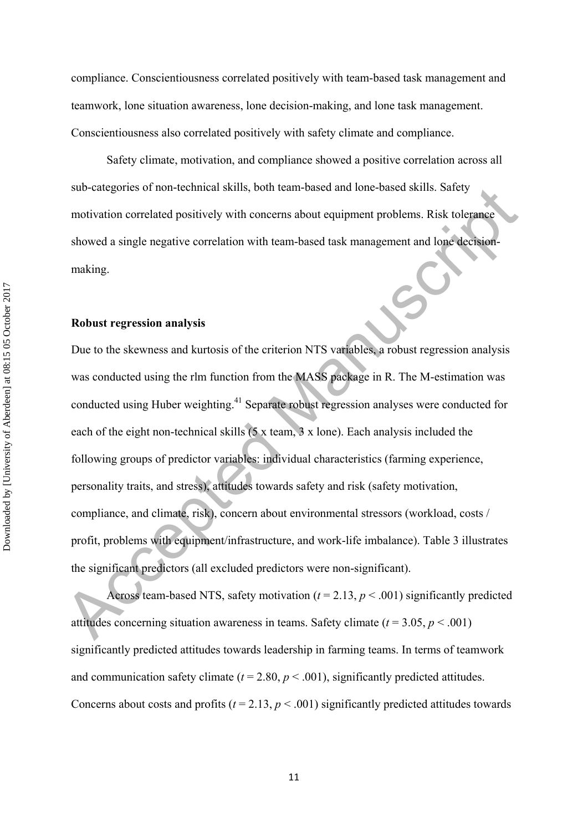compliance. Conscientiousness correlated positively with team-based task management and teamwork, lone situation awareness, lone decision-making, and lone task management. Conscientiousness also correlated positively with safety climate and compliance.

Safety climate, motivation, and compliance showed a positive correlation across all sub-categories of non-technical skills, both team-based and lone-based skills. Safety motivation correlated positively with concerns about equipment problems. Risk tolerance showed a single negative correlation with team-based task management and lone decisionmaking.

### **Robust regression analysis**

sub-categories of non-tecnnical skills, both team-based and lone-based skills. Safety<br>motivation correlated positively with concerns about equipment problems. Risk tolerance<br>showed a single negative correlation with team-Due to the skewness and kurtosis of the criterion NTS variables, a robust regression analysis was conducted using the rlm function from the MASS package in R. The M-estimation was conducted using Huber weighting.41 Separate robust regression analyses were conducted for each of the eight non-technical skills (5 x team, 3 x lone). Each analysis included the following groups of predictor variables: individual characteristics (farming experience, personality traits, and stress), attitudes towards safety and risk (safety motivation, compliance, and climate, risk), concern about environmental stressors (workload, costs / profit, problems with equipment/infrastructure, and work-life imbalance). Table 3 illustrates the significant predictors (all excluded predictors were non-significant).

Across team-based NTS, safety motivation ( $t = 2.13$ ,  $p < .001$ ) significantly predicted attitudes concerning situation awareness in teams. Safety climate  $(t = 3.05, p < .001)$ significantly predicted attitudes towards leadership in farming teams. In terms of teamwork and communication safety climate ( $t = 2.80$ ,  $p < .001$ ), significantly predicted attitudes. Concerns about costs and profits ( $t = 2.13$ ,  $p < .001$ ) significantly predicted attitudes towards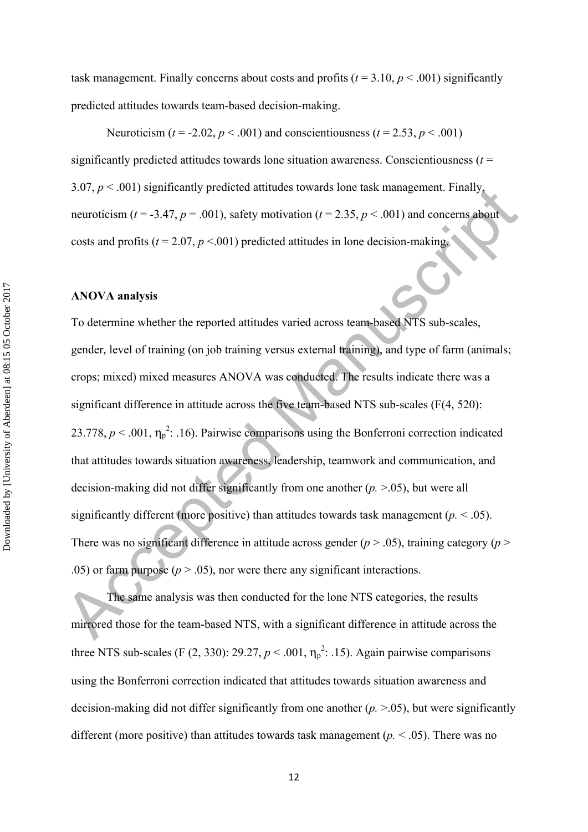task management. Finally concerns about costs and profits  $(t = 3.10, p < .001)$  significantly predicted attitudes towards team-based decision-making.

Neuroticism ( $t = -2.02$ ,  $p < .001$ ) and conscientiousness ( $t = 2.53$ ,  $p < .001$ ) significantly predicted attitudes towards lone situation awareness. Conscientiousness  $(t =$ 3.07,  $p < .001$ ) significantly predicted attitudes towards lone task management. Finally, neuroticism ( $t = -3.47$ ,  $p = .001$ ), safety motivation ( $t = 2.35$ ,  $p < .001$ ) and concerns about costs and profits  $(t = 2.07, p \le 0.001)$  predicted attitudes in lone decision-making.

#### **ANOVA analysis**

3.07,  $p \times .001$ ) significantly predicted attitudes towards tone task management. Finally,<br>neuroticism ( $t = .3.47$ ,  $p = .001$ ), safety motivation ( $t = 2.35$ ,  $p < .001$ ) and concerns about<br>costs and profits ( $t = 2.07$ ,  $p < .001$ To determine whether the reported attitudes varied across team-based NTS sub-scales, gender, level of training (on job training versus external training), and type of farm (animals; crops; mixed) mixed measures ANOVA was conducted. The results indicate there was a significant difference in attitude across the five team-based NTS sub-scales (F(4, 520): 23.778,  $p < .001$ ,  $\eta_p^2$ : .16). Pairwise comparisons using the Bonferroni correction indicated that attitudes towards situation awareness, leadership, teamwork and communication, and decision-making did not differ significantly from one another (*p.* >.05), but were all significantly different (more positive) than attitudes towards task management ( $p \leq 0.05$ ). There was no significant difference in attitude across gender  $(p > .05)$ , training category  $(p > .05)$ .05) or farm purpose ( $p > 0.05$ ), nor were there any significant interactions.

The same analysis was then conducted for the lone NTS categories, the results mirrored those for the team-based NTS, with a significant difference in attitude across the three NTS sub-scales (F  $(2, 330)$ : 29.27,  $p < .001$ ,  $\eta_p^2$ : .15). Again pairwise comparisons using the Bonferroni correction indicated that attitudes towards situation awareness and decision-making did not differ significantly from one another (*p.* >.05), but were significantly different (more positive) than attitudes towards task management (*p.* < .05). There was no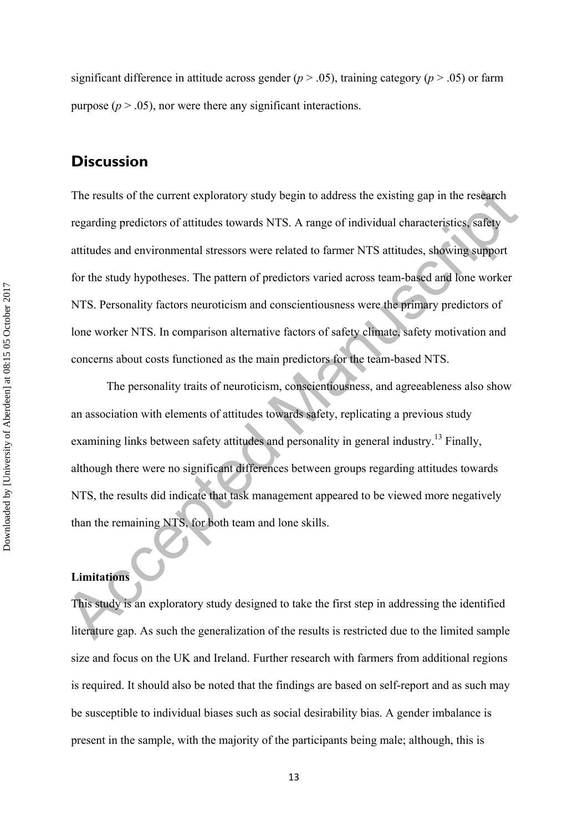significant difference in attitude across gender ( $p > .05$ ), training category ( $p > .05$ ) or farm purpose  $(p > .05)$ , nor were there any significant interactions.

# **Discussion**

The results of the current exploratory study begin to address the existing gap in the research<br>regarding predictors of attitudes towards NTS. A range of individual characteristics; safety<br>attitudes and environmental stres The results of the current exploratory study begin to address the existing gap in the research regarding predictors of attitudes towards NTS. A range of individual characteristics, safety attitudes and environmental stressors were related to farmer NTS attitudes, showing support for the study hypotheses. The pattern of predictors varied across team-based and lone worker NTS. Personality factors neuroticism and conscientiousness were the primary predictors of lone worker NTS. In comparison alternative factors of safety climate, safety motivation and concerns about costs functioned as the main predictors for the team-based NTS.

The personality traits of neuroticism, conscientiousness, and agreeableness also show an association with elements of attitudes towards safety, replicating a previous study examining links between safety attitudes and personality in general industry.<sup>13</sup> Finally, although there were no significant differences between groups regarding attitudes towards NTS, the results did indicate that task management appeared to be viewed more negatively than the remaining NTS, for both team and lone skills.

## **Limitations**

This study is an exploratory study designed to take the first step in addressing the identified literature gap. As such the generalization of the results is restricted due to the limited sample size and focus on the UK and Ireland. Further research with farmers from additional regions is required. It should also be noted that the findings are based on self-report and as such may be susceptible to individual biases such as social desirability bias. A gender imbalance is present in the sample, with the majority of the participants being male; although, this is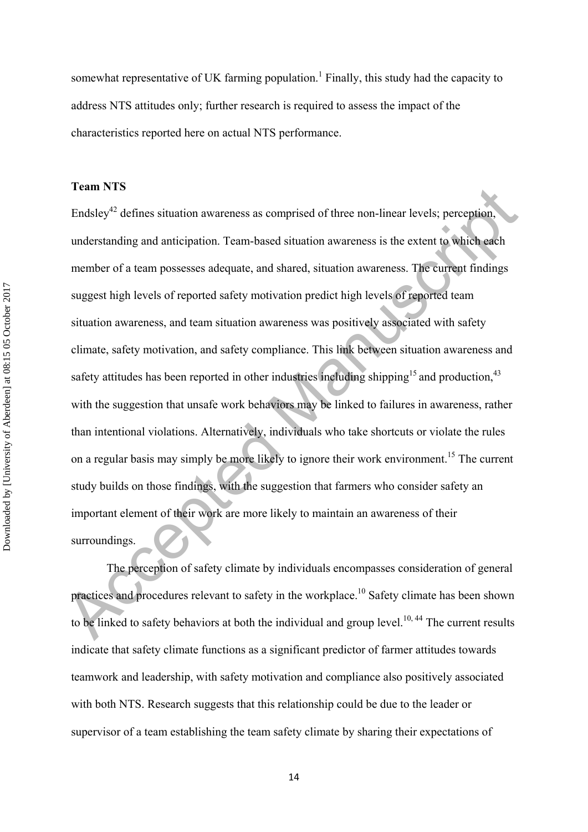somewhat representative of UK farming population.<sup>1</sup> Finally, this study had the capacity to address NTS attitudes only; further research is required to assess the impact of the characteristics reported here on actual NTS performance.

#### **Team NTS**

Findsley<sup>12</sup> defines situation awareness as comprised of three non-linear levels; perception,<br>
understanding and anticipation. Team-based situation awareness is the extent to which each<br>
member of a team possesses adequat Endsley<sup> $42$ </sup> defines situation awareness as comprised of three non-linear levels; perception, understanding and anticipation. Team-based situation awareness is the extent to which each member of a team possesses adequate, and shared, situation awareness. The current findings suggest high levels of reported safety motivation predict high levels of reported team situation awareness, and team situation awareness was positively associated with safety climate, safety motivation, and safety compliance. This link between situation awareness and safety attitudes has been reported in other industries including shipping<sup>15</sup> and production.<sup>43</sup> with the suggestion that unsafe work behaviors may be linked to failures in awareness, rather than intentional violations. Alternatively, individuals who take shortcuts or violate the rules on a regular basis may simply be more likely to ignore their work environment.<sup>15</sup> The current study builds on those findings, with the suggestion that farmers who consider safety an important element of their work are more likely to maintain an awareness of their surroundings.

The perception of safety climate by individuals encompasses consideration of general practices and procedures relevant to safety in the workplace.10 Safety climate has been shown to be linked to safety behaviors at both the individual and group level.<sup>10, 44</sup> The current results indicate that safety climate functions as a significant predictor of farmer attitudes towards teamwork and leadership, with safety motivation and compliance also positively associated with both NTS. Research suggests that this relationship could be due to the leader or supervisor of a team establishing the team safety climate by sharing their expectations of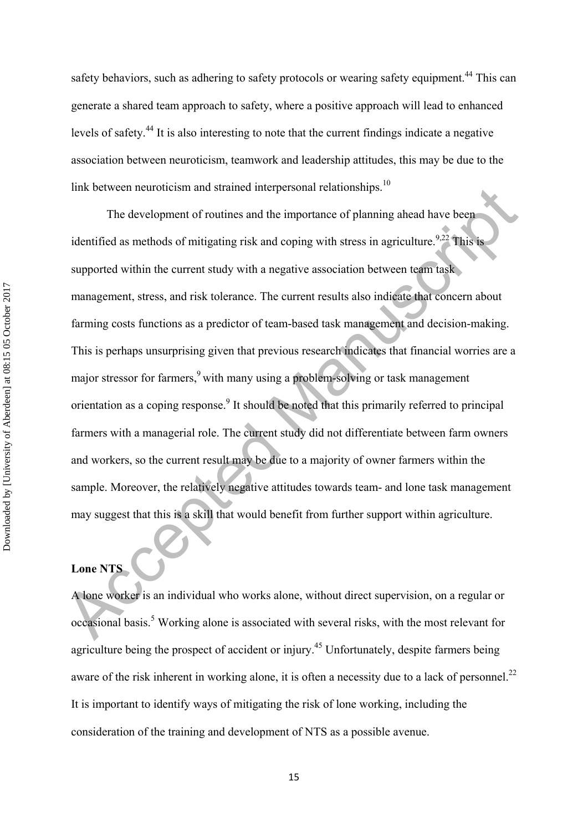safety behaviors, such as adhering to safety protocols or wearing safety equipment.<sup>44</sup> This can generate a shared team approach to safety, where a positive approach will lead to enhanced levels of safety.44 It is also interesting to note that the current findings indicate a negative association between neuroticism, teamwork and leadership attitudes, this may be due to the link between neuroticism and strained interpersonal relationships. $10$ 

The development of routines and strained interpersional relationships.<br>
The development of routines and the importance of planning ahead have been<br>
identified as methods of mitigating risk and coping with stress in agricul The development of routines and the importance of planning ahead have been identified as methods of mitigating risk and coping with stress in agriculture.<sup>9,22</sup> This is supported within the current study with a negative association between team task management, stress, and risk tolerance. The current results also indicate that concern about farming costs functions as a predictor of team-based task management and decision-making. This is perhaps unsurprising given that previous research indicates that financial worries are a major stressor for farmers,<sup>9</sup> with many using a problem-solving or task management orientation as a coping response.<sup>9</sup> It should be noted that this primarily referred to principal farmers with a managerial role. The current study did not differentiate between farm owners and workers, so the current result may be due to a majority of owner farmers within the sample. Moreover, the relatively negative attitudes towards team- and lone task management may suggest that this is a skill that would benefit from further support within agriculture.

## **Lone NTS**

A lone worker is an individual who works alone, without direct supervision, on a regular or occasional basis.<sup>5</sup> Working alone is associated with several risks, with the most relevant for agriculture being the prospect of accident or injury.45 Unfortunately, despite farmers being aware of the risk inherent in working alone, it is often a necessity due to a lack of personnel.<sup>22</sup> It is important to identify ways of mitigating the risk of lone working, including the consideration of the training and development of NTS as a possible avenue.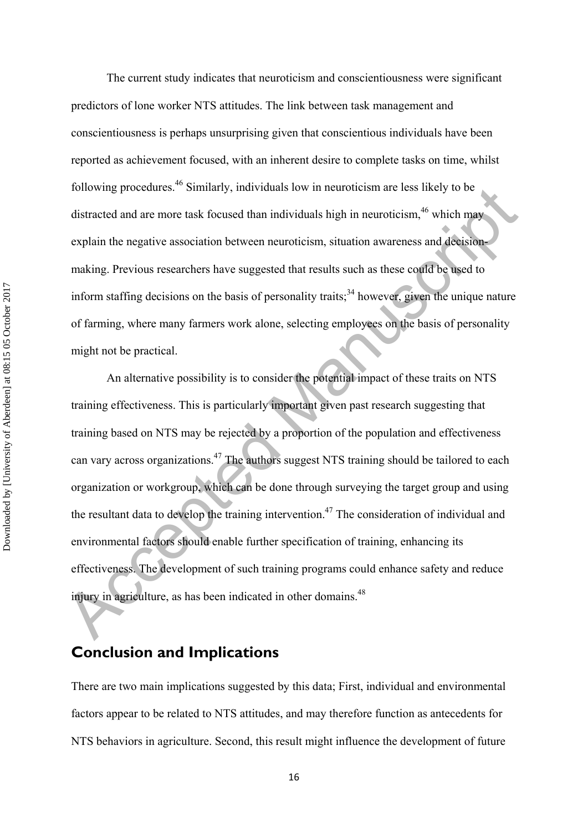The current study indicates that neuroticism and conscientiousness were significant predictors of lone worker NTS attitudes. The link between task management and conscientiousness is perhaps unsurprising given that conscientious individuals have been reported as achievement focused, with an inherent desire to complete tasks on time, whilst following procedures.46 Similarly, individuals low in neuroticism are less likely to be distracted and are more task focused than individuals high in neuroticism,  $46$  which may explain the negative association between neuroticism, situation awareness and decisionmaking. Previous researchers have suggested that results such as these could be used to inform staffing decisions on the basis of personality traits;<sup>34</sup> however, given the unique nature of farming, where many farmers work alone, selecting employees on the basis of personality might not be practical.

From procedures. Similarly, individuals low in neuroticism are less likely to be<br>distracted and are more task focused than individuals high in neuroticism,<sup>46</sup> which may<br>explain the negative association between neuroticis An alternative possibility is to consider the potential impact of these traits on NTS training effectiveness. This is particularly important given past research suggesting that training based on NTS may be rejected by a proportion of the population and effectiveness can vary across organizations.<sup>47</sup> The authors suggest NTS training should be tailored to each organization or workgroup, which can be done through surveying the target group and using the resultant data to develop the training intervention.<sup>47</sup> The consideration of individual and environmental factors should enable further specification of training, enhancing its effectiveness. The development of such training programs could enhance safety and reduce injury in agriculture, as has been indicated in other domains.<sup>48</sup>

# **Conclusion and Implications**

There are two main implications suggested by this data; First, individual and environmental factors appear to be related to NTS attitudes, and may therefore function as antecedents for NTS behaviors in agriculture. Second, this result might influence the development of future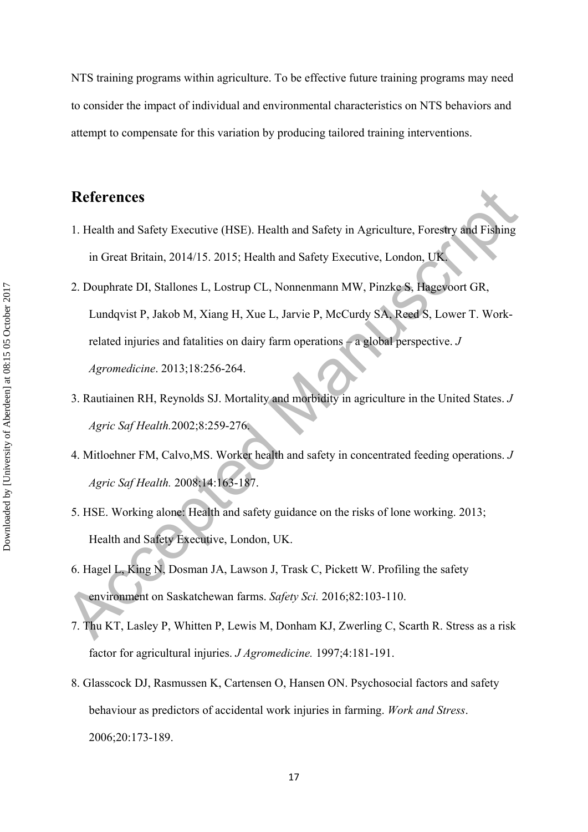NTS training programs within agriculture. To be effective future training programs may need to consider the impact of individual and environmental characteristics on NTS behaviors and attempt to compensate for this variation by producing tailored training interventions.

# **References**

- 1. Health and Safety Executive (HSE). Health and Safety in Agriculture, Forestry and Fishing in Great Britain, 2014/15. 2015; Health and Safety Executive, London, UK.
- **References**<br>
1. Health and Safety Executive (HSE). Health and Safety in Agriculture, Forestry and Fishing<br>
in Great Britain, 2014/15. 2015; Health and Safety Executive, London, UK<br>
2. Douphrate DI, Stallones L, Lostrup CL 2. Douphrate DI, Stallones L, Lostrup CL, Nonnenmann MW, Pinzke S, Hagevoort GR, Lundqvist P, Jakob M, Xiang H, Xue L, Jarvie P, McCurdy SA, Reed S, Lower T. Workrelated injuries and fatalities on dairy farm operations – a global perspective. *J Agromedicine*. 2013;18:256-264.
	- 3. Rautiainen RH, Reynolds SJ. Mortality and morbidity in agriculture in the United States. *J Agric Saf Health.*2002;8:259-276.
	- 4. Mitloehner FM, Calvo,MS. Worker health and safety in concentrated feeding operations. *J Agric Saf Health.* 2008;14:163-187.
	- 5. HSE. Working alone: Health and safety guidance on the risks of lone working. 2013; Health and Safety Executive, London, UK.
	- 6. Hagel L, King N, Dosman JA, Lawson J, Trask C, Pickett W. Profiling the safety environment on Saskatchewan farms. *Safety Sci.* 2016;82:103-110.
	- 7. Thu KT, Lasley P, Whitten P, Lewis M, Donham KJ, Zwerling C, Scarth R. Stress as a risk factor for agricultural injuries. *J Agromedicine.* 1997;4:181-191.
	- 8. Glasscock DJ, Rasmussen K, Cartensen O, Hansen ON. Psychosocial factors and safety behaviour as predictors of accidental work injuries in farming. *Work and Stress*. 2006;20:173-189.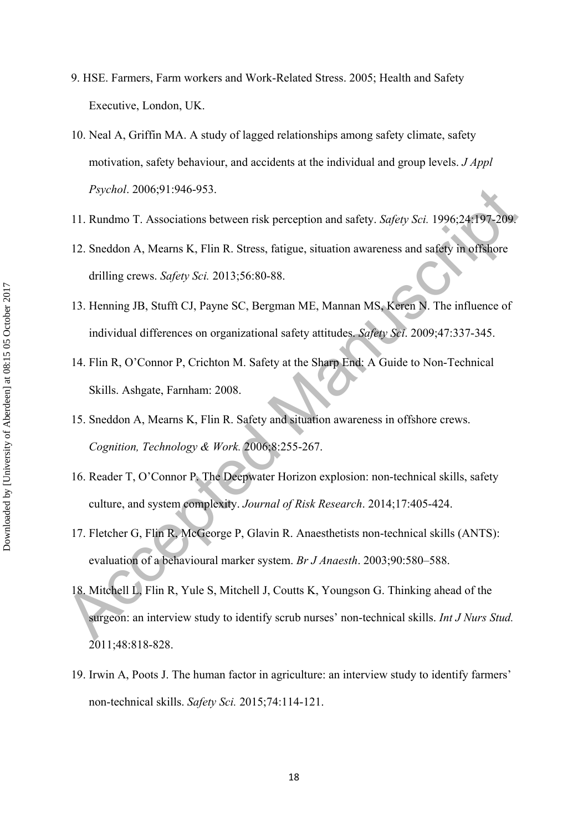- 9. HSE. Farmers, Farm workers and Work-Related Stress. 2005; Health and Safety Executive, London, UK.
- 10. Neal A, Griffin MA. A study of lagged relationships among safety climate, safety motivation, safety behaviour, and accidents at the individual and group levels. *J Appl Psychol*. 2006;91:946-953.
- 11. Rundmo T. Associations between risk perception and safety. *Safety Sci.* 1996;24:197-209.
- 12. Sneddon A, Mearns K, Flin R. Stress, fatigue, situation awareness and safety in offshore drilling crews. *Safety Sci.* 2013;56:80-88.
- 13. Henning JB, Stufft CJ, Payne SC, Bergman ME, Mannan MS, Keren N. The influence of individual differences on organizational safety attitudes. *Safety Sci*. 2009;47:337-345.
- 14. Flin R, O'Connor P, Crichton M. Safety at the Sharp End: A Guide to Non-Technical Skills. Ashgate, Farnham: 2008.
- 15. Sneddon A, Mearns K, Flin R. Safety and situation awareness in offshore crews. *Cognition, Technology & Work.* 2006;8:255-267.
- 16. Reader T, O'Connor P. The Deepwater Horizon explosion: non-technical skills, safety culture, and system complexity. *Journal of Risk Research*. 2014;17:405-424.
- 17. Fletcher G, Flin R, McGeorge P, Glavin R. Anaesthetists non-technical skills (ANTS): evaluation of a behavioural marker system. *Br J Anaesth*. 2003;90:580–588.
- *Psychol.* 2006;91:946-953.<br>
11. Rundmo T. Associations between risk perception and safety. *Safety Sci.* 1996;24:197-209<br>
12. Sneddon A, Meanns K, Flin R. Stress, fatigue, situation awareness and safety in offshore<br>
drill 18. Mitchell L, Flin R, Yule S, Mitchell J, Coutts K, Youngson G. Thinking ahead of the surgeon: an interview study to identify scrub nurses' non-technical skills. *Int J Nurs Stud.*  2011;48:818-828.
	- 19. Irwin A, Poots J. The human factor in agriculture: an interview study to identify farmers' non-technical skills. *Safety Sci.* 2015;74:114-121.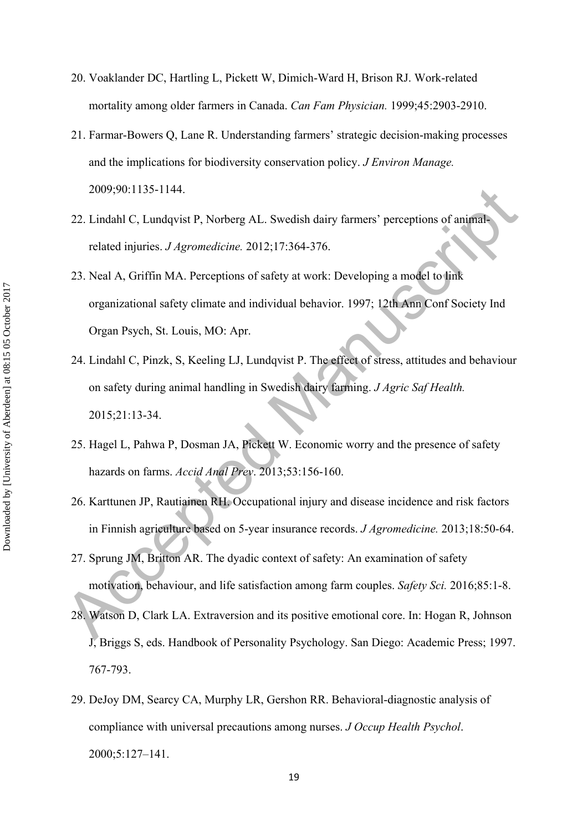- 20. Voaklander DC, Hartling L, Pickett W, Dimich-Ward H, Brison RJ. Work-related mortality among older farmers in Canada. *Can Fam Physician.* 1999;45:2903-2910.
- 21. Farmar-Bowers Q, Lane R. Understanding farmers' strategic decision-making processes and the implications for biodiversity conservation policy. *J Environ Manage.*  2009;90:1135-1144.
- 22. Lindahl C, Lundqvist P, Norberg AL. Swedish dairy farmers' perceptions of animalrelated injuries. *J Agromedicine.* 2012;17:364-376.
- 23. Neal A, Griffin MA. Perceptions of safety at work: Developing a model to link organizational safety climate and individual behavior. 1997; 12th Ann Conf Society Ind Organ Psych, St. Louis, MO: Apr.
- 2009-90; 1135-1144.<br>
22. Lindahl C, Lundqvist P, Norberg AL. Swedish dairy farmers' perceptions of animal-<br>
related injuries: *J. Agromedictine*. 2012;17:364-376.<br>
23. Neal A, Griffin MA. Perceptions of safety at work: De 24. Lindahl C, Pinzk, S, Keeling LJ, Lundqvist P. The effect of stress, attitudes and behaviour on safety during animal handling in Swedish dairy farming. *J Agric Saf Health.*  2015;21:13-34.
	- 25. Hagel L, Pahwa P, Dosman JA, Pickett W. Economic worry and the presence of safety hazards on farms. *Accid Anal Prev*. 2013;53:156-160.
- 26. Karttunen JP, Rautiainen RH. Occupational injury and disease incidence and risk factors in Finnish agriculture based on 5-year insurance records. *J Agromedicine.* 2013;18:50-64.
- 27. Sprung JM, Britton AR. The dyadic context of safety: An examination of safety motivation, behaviour, and life satisfaction among farm couples. *Safety Sci.* 2016;85:1-8.
- 28. Watson D, Clark LA. Extraversion and its positive emotional core. In: Hogan R, Johnson J, Briggs S, eds. Handbook of Personality Psychology. San Diego: Academic Press; 1997. 767-793.
- 29. DeJoy DM, Searcy CA, Murphy LR, Gershon RR. Behavioral-diagnostic analysis of compliance with universal precautions among nurses. *J Occup Health Psychol*. 2000;5:127–141.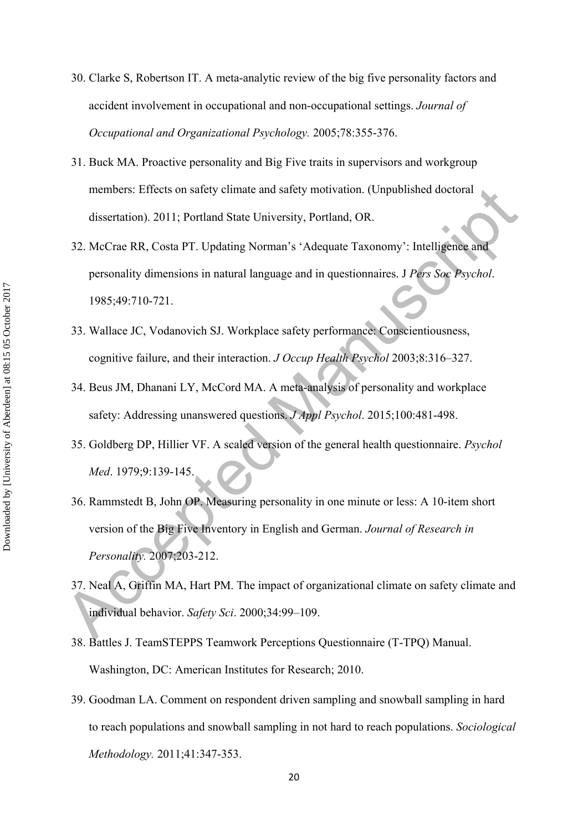- 30. Clarke S, Robertson IT. A meta-analytic review of the big five personality factors and accident involvement in occupational and non-occupational settings. *Journal of Occupational and Organizational Psychology.* 2005;78:355-376.
- 31. Buck MA. Proactive personality and Big Five traits in supervisors and workgroup members: Effects on safety climate and safety motivation. (Unpublished doctoral dissertation). 2011; Portland State University, Portland, OR.
- 32. McCrae RR, Costa PT. Updating Norman's 'Adequate Taxonomy': Intelligence and personality dimensions in natural language and in questionnaires. J *Pers Soc Psychol*. 1985;49:710-721.
- 33. Wallace JC, Vodanovich SJ. Workplace safety performance: Conscientiousness, cognitive failure, and their interaction. *J Occup Health Psychol* 2003;8:316–327.
- 34. Beus JM, Dhanani LY, McCord MA. A meta-analysis of personality and workplace safety: Addressing unanswered questions. *J Appl Psychol*. 2015;100:481-498.
- 35. Goldberg DP, Hillier VF. A scaled version of the general health questionnaire. *Psychol Med*. 1979;9:139-145.
- members: Effects on safety elimate and safety motivation. (Unpublished doctoral<br>
dissectation). 2011; Portland State University, Portland, OR.<br>
32. McCrue RR, Costa PT. Updating Norman's 'Adequate Taxonomy': Intelligence a 36. Rammstedt B, John OP. Measuring personality in one minute or less: A 10-item short version of the Big Five Inventory in English and German. *Journal of Research in Personality.* 2007;203-212.
	- 37. Neal A, Griffin MA, Hart PM. The impact of organizational climate on safety climate and individual behavior. *Safety Sci*. 2000;34:99–109.
	- 38. Battles J. TeamSTEPPS Teamwork Perceptions Questionnaire (T-TPQ) Manual. Washington, DC: American Institutes for Research; 2010.
	- 39. Goodman LA. Comment on respondent driven sampling and snowball sampling in hard to reach populations and snowball sampling in not hard to reach populations. *Sociological Methodology.* 2011;41:347-353.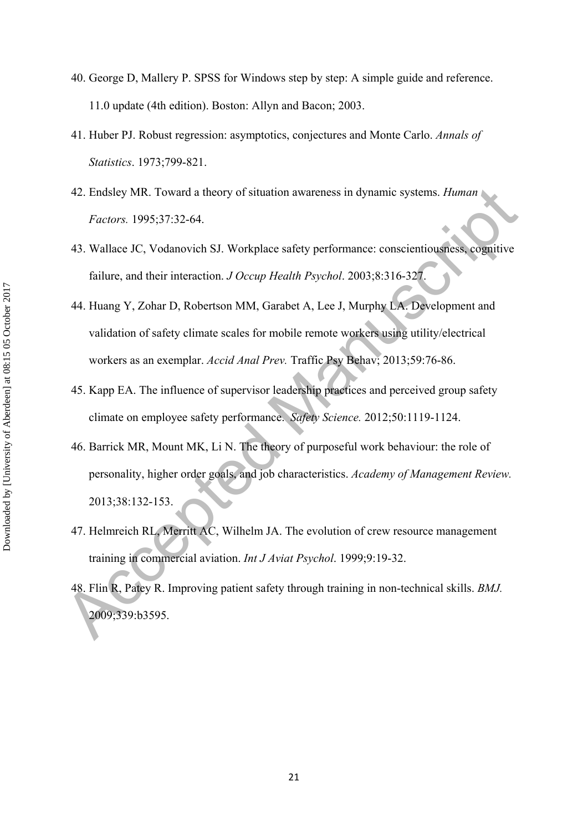- 40. George D, Mallery P. SPSS for Windows step by step: A simple guide and reference. 11.0 update (4th edition). Boston: Allyn and Bacon; 2003.
- 41. Huber PJ. Robust regression: asymptotics, conjectures and Monte Carlo. *Annals of Statistics*. 1973;799-821.
- 42. Endsley MR. Toward a theory of situation awareness in dynamic systems. *Human Factors.* 1995;37:32-64.
- 43. Wallace JC, Vodanovich SJ. Workplace safety performance: conscientiousness, cognitive failure, and their interaction. *J Occup Health Psychol*. 2003;8:316-327.
- 44. Huang Y, Zohar D, Robertson MM, Garabet A, Lee J, Murphy LA. Development and validation of safety climate scales for mobile remote workers using utility/electrical workers as an exemplar. *Accid Anal Prev.* Traffic Psy Behav; 2013;59:76-86.
- 45. Kapp EA. The influence of supervisor leadership practices and perceived group safety climate on employee safety performance. *Safety Science.* 2012;50:1119-1124.
- 42. Endsley MR. Toward a theory of situation awareness in dynamic systems. *Human*<br>Factors. 1995;37:32-64.<br>43. Wallace JC, Vodanovich SJ. Workplace safety performance: conscientiousness, cognitive<br>failure, and their inter 46. Barrick MR, Mount MK, Li N. The theory of purposeful work behaviour: the role of personality, higher order goals, and job characteristics. *Academy of Management Review.* 2013;38:132-153.
	- 47. Helmreich RL, Merritt AC, Wilhelm JA. The evolution of crew resource management training in commercial aviation. *Int J Aviat Psychol*. 1999;9:19-32.
	- 48. Flin R, Patey R. Improving patient safety through training in non-technical skills. *BMJ.* 2009;339:b3595.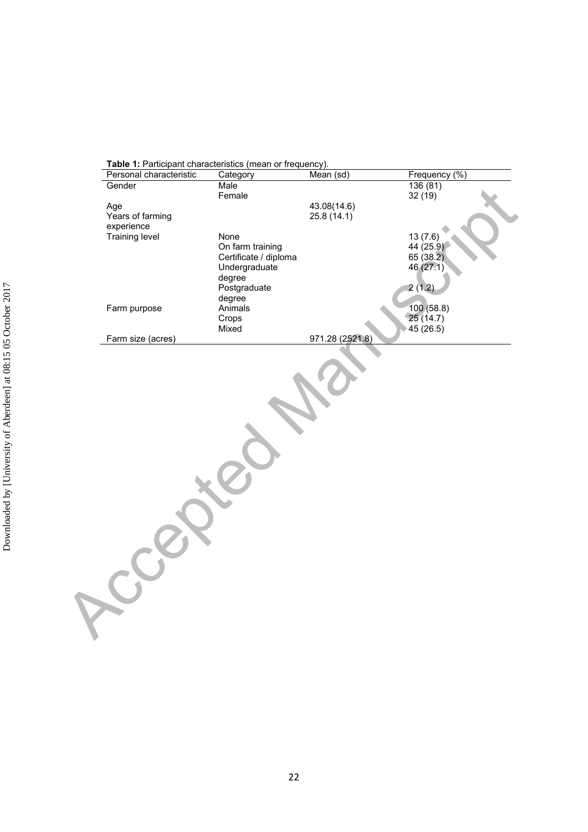|                   | Category              | Mean (sd)       | Frequency (%)          |
|-------------------|-----------------------|-----------------|------------------------|
| Gender            | Male                  |                 | 136(81)                |
|                   | Female                |                 | 32(19)                 |
| Age               |                       | 43.08(14.6)     |                        |
| Years of farming  |                       | 25.8(14.1)      |                        |
| experience        |                       |                 |                        |
| Training level    | None                  |                 | 13(7.6)                |
|                   | On farm training      |                 | 44(25.9)               |
|                   | Certificate / diploma |                 | 65 (38.2)              |
|                   | Undergraduate         |                 | 46 (27.1)              |
|                   | degree                |                 |                        |
|                   | Postgraduate          |                 | 2(1.2)                 |
|                   | degree                |                 |                        |
| Farm purpose      | Animals               |                 | 100 (58.8)<br>25(14.7) |
|                   | Crops<br>Mixed        |                 |                        |
| Farm size (acres) |                       | 971.28 (2521.8) | 45(26.5)               |
|                   |                       |                 |                        |
|                   |                       |                 |                        |
|                   |                       |                 |                        |
|                   |                       |                 |                        |
|                   |                       |                 |                        |

**Table 1:** Participant characteristics (mean or frequency).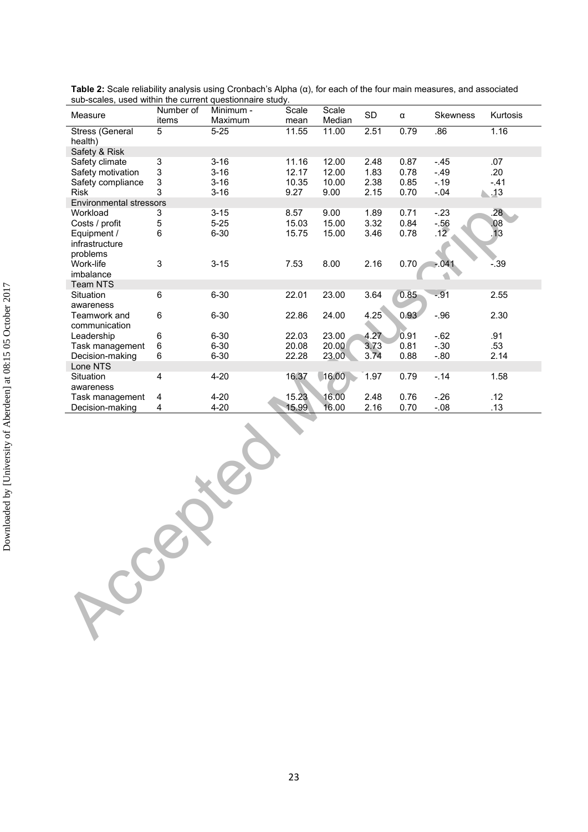| Measure                                | Number of<br>items        | Minimum -<br>Maximum | Scale<br>mean | Scale<br>Median | SD   | $\alpha$ | Skewness       | Kurtosis           |
|----------------------------------------|---------------------------|----------------------|---------------|-----------------|------|----------|----------------|--------------------|
| Stress (General                        | 5                         | $5 - 25$             | 11.55         | 11.00           | 2.51 | 0.79     | .86            | 1.16               |
| health)<br>Safety & Risk               |                           |                      |               |                 |      |          |                |                    |
| Safety climate                         | $\ensuremath{\mathsf{3}}$ | $3 - 16$             | 11.16         | 12.00           | 2.48 | 0.87     | $-45$          | .07                |
| Safety motivation                      | $\mathbf{3}$              | $3 - 16$             | 12.17         | 12.00           | 1.83 | 0.78     | $-.49$         | .20                |
| Safety compliance                      | $\ensuremath{\mathsf{3}}$ | $3 - 16$             | 10.35         | 10.00           | 2.38 | 0.85     | $-.19$         | $-.41$             |
| <b>Risk</b><br>Environmental stressors | 3                         | $3 - 16$             | 9.27          | 9.00            | 2.15 | 0.70     | $-.04$         | $\blacksquare$ .13 |
| Workload                               | 3                         | $3 - 15$             | 8.57          | 9.00            | 1.89 | 0.71     | $-.23$         | .28                |
| Costs / profit                         | $\mathbf 5$               | $5 - 25$             | 15.03         | 15.00           | 3.32 | 0.84     |                | 0.08               |
| Equipment /                            | 6                         | $6 - 30$             | 15.75         | 15.00           | 3.46 | 0.78     | $-56$<br>$.12$ | 13                 |
| infrastructure                         |                           |                      |               |                 |      |          |                |                    |
| problems<br>Work-life                  | 3                         | $3 - 15$             | 7.53          | 8.00            | 2.16 | 0.70     | $-041$         | $-0.39$            |
| imbalance                              |                           |                      |               |                 |      |          |                |                    |
| Team NTS                               |                           |                      |               |                 |      |          |                |                    |
| Situation                              | $\,6\,$                   | $6 - 30$             | 22.01         | 23.00           | 3.64 | 0.85     | $-.91$         | 2.55               |
| awareness<br>Teamwork and              | 6                         | $6 - 30$             | 22.86         | 24.00           | 4.25 | 0.93     | $-.96$         | 2.30               |
| communication                          |                           |                      |               |                 |      |          |                |                    |
| Leadership                             | 6                         | $6 - 30$             | 22.03         | 23.00           | 4.27 | 0.91     | $-.62$         | .91                |
| Task management                        | 6                         | $6 - 30$             | 20.08         | 20.00           | 3.73 | 0.81     | $-.30$         | .53                |
| Decision-making<br>Lone NTS            | 6                         | $6 - 30$             | 22.28         | 23.00           | 3.74 | 0.88     | $-.80$         | 2.14               |
| Situation                              | $\overline{\mathbf{4}}$   | $4 - 20$             | 16.37         | 16.00           | 1.97 | 0.79     | $-.14$         | 1.58               |
| awareness                              |                           |                      |               |                 |      |          |                |                    |
| Task management                        | 4                         | $4 - 20$             | 15.23         | 16.00           | 2.48 | 0.76     | $-.26$         | .12                |
| Decision-making                        | $\overline{\mathbf{4}}$   | $4 - 20$             | 15.99         | 16.00           | 2.16 | 0.70     | $-.08$         | .13                |
| CCE                                    |                           |                      |               |                 |      |          |                |                    |

**Table 2:** Scale reliability analysis using Cronbach's Alpha (α), for each of the four main measures, and associated sub-scales, used within the current questionnaire study.